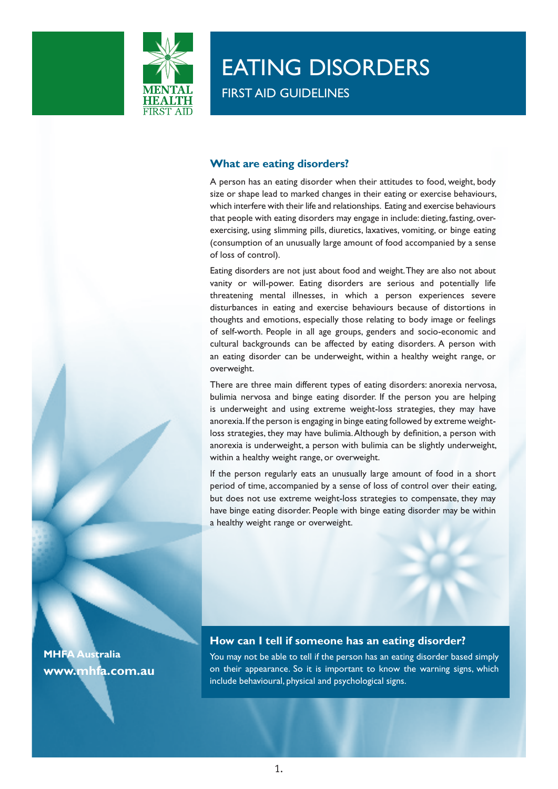

# EATING DISORDERS

FIRST AID GUIDELINES

## **What are eating disorders?**

A person has an eating disorder when their attitudes to food, weight, body size or shape lead to marked changes in their eating or exercise behaviours, which interfere with their life and relationships. Eating and exercise behaviours that people with eating disorders may engage in include: dieting, fasting, overexercising, using slimming pills, diuretics, laxatives, vomiting, or binge eating (consumption of an unusually large amount of food accompanied by a sense of loss of control).

Eating disorders are not just about food and weight. They are also not about vanity or will-power. Eating disorders are serious and potentially life threatening mental illnesses, in which a person experiences severe disturbances in eating and exercise behaviours because of distortions in thoughts and emotions, especially those relating to body image or feelings of self-worth. People in all age groups, genders and socio-economic and cultural backgrounds can be affected by eating disorders. A person with an eating disorder can be underweight, within a healthy weight range, or overweight.

There are three main different types of eating disorders: anorexia nervosa, bulimia nervosa and binge eating disorder. If the person you are helping is underweight and using extreme weight-loss strategies, they may have anorexia. If the person is engaging in binge eating followed by extreme weightloss strategies, they may have bulimia. Although by definition, a person with anorexia is underweight, a person with bulimia can be slightly underweight, within a healthy weight range, or overweight.

If the person regularly eats an unusually large amount of food in a short period of time, accompanied by a sense of loss of control over their eating, but does not use extreme weight-loss strategies to compensate, they may have binge eating disorder. People with binge eating disorder may be within a healthy weight range or overweight.

**How can I tell if someone has an eating disorder?**

You may not be able to tell if the person has an eating disorder based simply on their appearance. So it is important to know the warning signs, which include behavioural, physical and psychological signs.

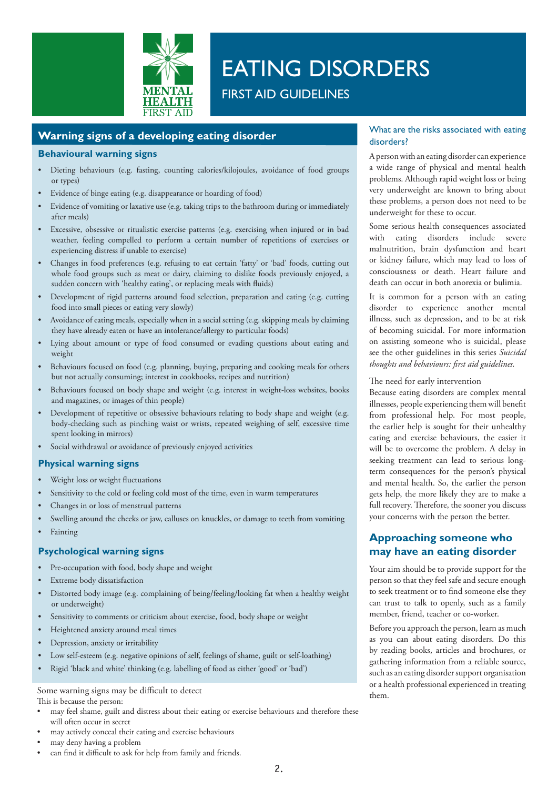

# EATING DISORDERS

FIRST AID GUIDELINES

## **Warning signs of a developing eating disorder**

### **Behavioural warning signs**

- • Dieting behaviours (e.g. fasting, counting calories/kilojoules, avoidance of food groups or types)
- Evidence of binge eating (e.g. disappearance or hoarding of food)
- Evidence of vomiting or laxative use (e.g. taking trips to the bathroom during or immediately after meals)
- Excessive, obsessive or ritualistic exercise patterns (e.g. exercising when injured or in bad weather, feeling compelled to perform a certain number of repetitions of exercises or experiencing distress if unable to exercise)
- Changes in food preferences (e.g. refusing to eat certain 'fatty' or 'bad' foods, cutting out whole food groups such as meat or dairy, claiming to dislike foods previously enjoyed, a sudden concern with 'healthy eating', or replacing meals with fluids)
- Development of rigid patterns around food selection, preparation and eating (e.g. cutting food into small pieces or eating very slowly)
- Avoidance of eating meals, especially when in a social setting (e.g. skipping meals by claiming they have already eaten or have an intolerance/allergy to particular foods)
- Lying about amount or type of food consumed or evading questions about eating and weight
- Behaviours focused on food (e.g. planning, buying, preparing and cooking meals for others but not actually consuming; interest in cookbooks, recipes and nutrition)
- Behaviours focused on body shape and weight (e.g. interest in weight-loss websites, books and magazines, or images of thin people)
- Development of repetitive or obsessive behaviours relating to body shape and weight (e.g. body-checking such as pinching waist or wrists, repeated weighing of self, excessive time spent looking in mirrors)
- Social withdrawal or avoidance of previously enjoyed activities

### **Physical warning signs**

- Weight loss or weight fluctuations
- Sensitivity to the cold or feeling cold most of the time, even in warm temperatures
- Changes in or loss of menstrual patterns
- Swelling around the cheeks or jaw, calluses on knuckles, or damage to teeth from vomiting
- **Fainting**

### **Psychological warning signs**

- Pre-occupation with food, body shape and weight
- Extreme body dissatisfaction
- Distorted body image (e.g. complaining of being/feeling/looking fat when a healthy weight or underweight)
- Sensitivity to comments or criticism about exercise, food, body shape or weight
- Heightened anxiety around meal times
- Depression, anxiety or irritability
- Low self-esteem (e.g. negative opinions of self, feelings of shame, guilt or self-loathing)
- Rigid 'black and white' thinking (e.g. labelling of food as either 'good' or 'bad')

#### Some warning signs may be difficult to detect This is because the person:

- may feel shame, guilt and distress about their eating or exercise behaviours and therefore these will often occur in secret
- may actively conceal their eating and exercise behaviours
- may deny having a problem
- can find it difficult to ask for help from family and friends.

### What are the risks associated with eating disorders?

A person with an eating disorder can experience a wide range of physical and mental health problems. Although rapid weight loss or being very underweight are known to bring about these problems, a person does not need to be underweight for these to occur.

Some serious health consequences associated with eating disorders include severe malnutrition, brain dysfunction and heart or kidney failure, which may lead to loss of consciousness or death. Heart failure and death can occur in both anorexia or bulimia.

It is common for a person with an eating disorder to experience another mental illness, such as depression, and to be at risk of becoming suicidal. For more information on assisting someone who is suicidal, please see the other guidelines in this series *Suicidal thoughts and behaviours: first aid guidelines.*

### The need for early intervention

Because eating disorders are complex mental illnesses, people experiencing them will benefit from professional help. For most people, the earlier help is sought for their unhealthy eating and exercise behaviours, the easier it will be to overcome the problem. A delay in seeking treatment can lead to serious longterm consequences for the person's physical and mental health. So, the earlier the person gets help, the more likely they are to make a full recovery. Therefore, the sooner you discuss your concerns with the person the better.

## **Approaching someone who may have an eating disorder**

Your aim should be to provide support for the person so that they feel safe and secure enough to seek treatment or to find someone else they can trust to talk to openly, such as a family member, friend, teacher or co-worker.

Before you approach the person, learn as much as you can about eating disorders. Do this by reading books, articles and brochures, or gathering information from a reliable source, such as an eating disorder support organisation or a health professional experienced in treating them.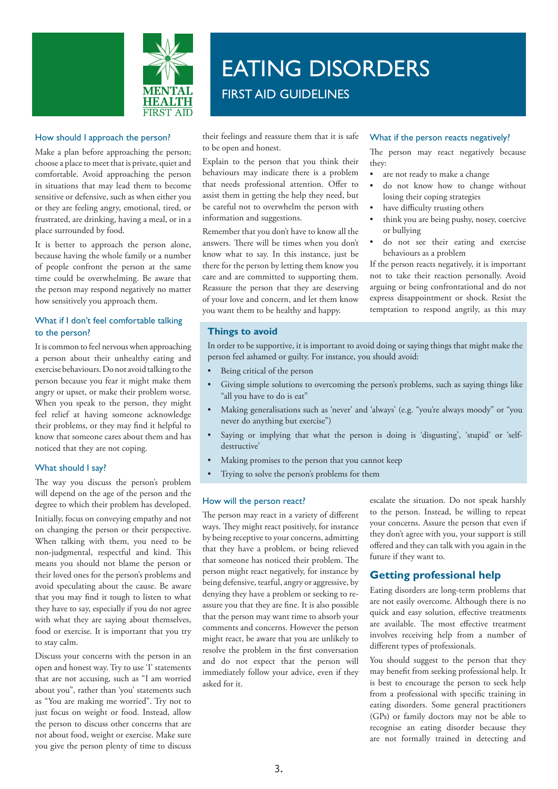

### How should I approach the person?

Make a plan before approaching the person; choose a place to meet that is private, quiet and comfortable. Avoid approaching the person in situations that may lead them to become sensitive or defensive, such as when either you or they are feeling angry, emotional, tired, or frustrated, are drinking, having a meal, or in a place surrounded by food.

It is better to approach the person alone, because having the whole family or a number of people confront the person at the same time could be overwhelming. Be aware that the person may respond negatively no matter how sensitively you approach them.

### What if I don't feel comfortable talking to the person?

It is common to feel nervous when approaching a person about their unhealthy eating and exercise behaviours. Do not avoid talking to the person because you fear it might make them angry or upset, or make their problem worse. When you speak to the person, they might feel relief at having someone acknowledge their problems, or they may find it helpful to know that someone cares about them and has noticed that they are not coping.

### What should I say?

The way you discuss the person's problem will depend on the age of the person and the degree to which their problem has developed.

Initially, focus on conveying empathy and not on changing the person or their perspective. When talking with them, you need to be non-judgmental, respectful and kind. This means you should not blame the person or their loved ones for the person's problems and avoid speculating about the cause. Be aware that you may find it tough to listen to what they have to say, especially if you do not agree with what they are saying about themselves, food or exercise. It is important that you try to stay calm.

Discuss your concerns with the person in an open and honest way. Try to use 'I' statements that are not accusing, such as "I am worried about you", rather than 'you' statements such as "You are making me worried". Try not to just focus on weight or food. Instead, allow the person to discuss other concerns that are not about food, weight or exercise. Make sure you give the person plenty of time to discuss

# EATING DISORDERS FIRST AID GUIDELINES

their feelings and reassure them that it is safe to be open and honest.

Explain to the person that you think their behaviours may indicate there is a problem that needs professional attention. Offer to assist them in getting the help they need, but be careful not to overwhelm the person with information and suggestions.

Remember that you don't have to know all the answers. There will be times when you don't know what to say. In this instance, just be there for the person by letting them know you care and are committed to supporting them. Reassure the person that they are deserving of your love and concern, and let them know you want them to be healthy and happy.

### What if the person reacts negatively?

The person may react negatively because they:

- are not ready to make a change
- do not know how to change without losing their coping strategies
- have difficulty trusting others
- think you are being pushy, nosey, coercive or bullying
- do not see their eating and exercise behaviours as a problem

If the person reacts negatively, it is important not to take their reaction personally. Avoid arguing or being confrontational and do not express disappointment or shock. Resist the temptation to respond angrily, as this may

### **Things to avoid**

In order to be supportive, it is important to avoid doing or saying things that might make the person feel ashamed or guilty. For instance, you should avoid:

- Being critical of the person
- Giving simple solutions to overcoming the person's problems, such as saying things like "all you have to do is eat"
- Making generalisations such as 'never' and 'always' (e.g. "you're always moody" or "you never do anything but exercise")
- Saying or implying that what the person is doing is 'disgusting', 'stupid' or 'selfdestructive'
- Making promises to the person that you cannot keep
- Trying to solve the person's problems for them

### How will the person react?

The person may react in a variety of different ways. They might react positively, for instance by being receptive to your concerns, admitting that they have a problem, or being relieved that someone has noticed their problem. The person might react negatively, for instance by being defensive, tearful, angry or aggressive, by denying they have a problem or seeking to reassure you that they are fine. It is also possible that the person may want time to absorb your comments and concerns. However the person might react, be aware that you are unlikely to resolve the problem in the first conversation and do not expect that the person will immediately follow your advice, even if they asked for it.

escalate the situation. Do not speak harshly to the person. Instead, be willing to repeat your concerns. Assure the person that even if they don't agree with you, your support is still offered and they can talk with you again in the future if they want to.

### **Getting professional help**

Eating disorders are long-term problems that are not easily overcome. Although there is no quick and easy solution, effective treatments are available. The most effective treatment involves receiving help from a number of different types of professionals.

You should suggest to the person that they may benefit from seeking professional help. It is best to encourage the person to seek help from a professional with specific training in eating disorders. Some general practitioners (GPs) or family doctors may not be able to recognise an eating disorder because they are not formally trained in detecting and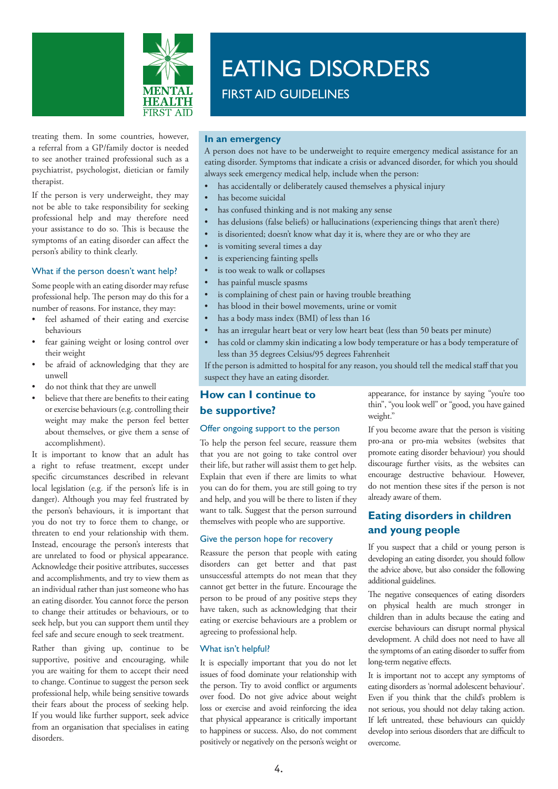

# EATING DISORDERS

FIRST AID GUIDELINES

treating them. In some countries, however, a referral from a GP/family doctor is needed to see another trained professional such as a psychiatrist, psychologist, dietician or family therapist.

If the person is very underweight, they may not be able to take responsibility for seeking professional help and may therefore need your assistance to do so. This is because the symptoms of an eating disorder can affect the person's ability to think clearly.

### What if the person doesn't want help?

Some people with an eating disorder may refuse professional help. The person may do this for a number of reasons. For instance, they may:

- feel ashamed of their eating and exercise behaviours
- fear gaining weight or losing control over their weight
- be afraid of acknowledging that they are unwell
- do not think that they are unwell
- believe that there are benefits to their eating or exercise behaviours (e.g. controlling their weight may make the person feel better about themselves, or give them a sense of accomplishment).

It is important to know that an adult has a right to refuse treatment, except under specific circumstances described in relevant local legislation (e.g. if the person's life is in danger). Although you may feel frustrated by the person's behaviours, it is important that you do not try to force them to change, or threaten to end your relationship with them. Instead, encourage the person's interests that are unrelated to food or physical appearance. Acknowledge their positive attributes, successes and accomplishments, and try to view them as an individual rather than just someone who has an eating disorder. You cannot force the person to change their attitudes or behaviours, or to seek help, but you can support them until they feel safe and secure enough to seek treatment.

Rather than giving up, continue to be supportive, positive and encouraging, while you are waiting for them to accept their need to change. Continue to suggest the person seek professional help, while being sensitive towards their fears about the process of seeking help. If you would like further support, seek advice from an organisation that specialises in eating disorders.

### **In an emergency**

A person does not have to be underweight to require emergency medical assistance for an eating disorder. Symptoms that indicate a crisis or advanced disorder, for which you should always seek emergency medical help, include when the person:

- has accidentally or deliberately caused themselves a physical injury
- has become suicidal
- has confused thinking and is not making any sense
- has delusions (false beliefs) or hallucinations (experiencing things that aren't there)
- is disoriented; doesn't know what day it is, where they are or who they are
- is vomiting several times a day
- is experiencing fainting spells
- is too weak to walk or collapses
- has painful muscle spasms
- is complaining of chest pain or having trouble breathing
- has blood in their bowel movements, urine or vomit
- has a body mass index (BMI) of less than 16
- has an irregular heart beat or very low heart beat (less than 50 beats per minute)
- • has cold or clammy skin indicating a low body temperature or has a body temperature of less than 35 degrees Celsius/95 degrees Fahrenheit

If the person is admitted to hospital for any reason, you should tell the medical staff that you suspect they have an eating disorder.

### **How can I continue to**

### **be supportive?**

### Offer ongoing support to the person

To help the person feel secure, reassure them that you are not going to take control over their life, but rather will assist them to get help. Explain that even if there are limits to what you can do for them, you are still going to try and help, and you will be there to listen if they want to talk. Suggest that the person surround themselves with people who are supportive.

### Give the person hope for recovery

Reassure the person that people with eating disorders can get better and that past unsuccessful attempts do not mean that they cannot get better in the future. Encourage the person to be proud of any positive steps they have taken, such as acknowledging that their eating or exercise behaviours are a problem or agreeing to professional help.

### What isn't helpful?

It is especially important that you do not let issues of food dominate your relationship with the person. Try to avoid conflict or arguments over food. Do not give advice about weight loss or exercise and avoid reinforcing the idea that physical appearance is critically important to happiness or success. Also, do not comment positively or negatively on the person's weight or appearance, for instance by saying "you're too thin", "you look well" or "good, you have gained weight."

If you become aware that the person is visiting pro-ana or pro-mia websites (websites that promote eating disorder behaviour) you should discourage further visits, as the websites can encourage destructive behaviour. However, do not mention these sites if the person is not already aware of them.

# **Eating disorders in children and young people**

If you suspect that a child or young person is developing an eating disorder, you should follow the advice above, but also consider the following additional guidelines.

The negative consequences of eating disorders on physical health are much stronger in children than in adults because the eating and exercise behaviours can disrupt normal physical development. A child does not need to have all the symptoms of an eating disorder to suffer from long-term negative effects.

It is important not to accept any symptoms of eating disorders as 'normal adolescent behaviour'. Even if you think that the child's problem is not serious, you should not delay taking action. If left untreated, these behaviours can quickly develop into serious disorders that are difficult to overcome.